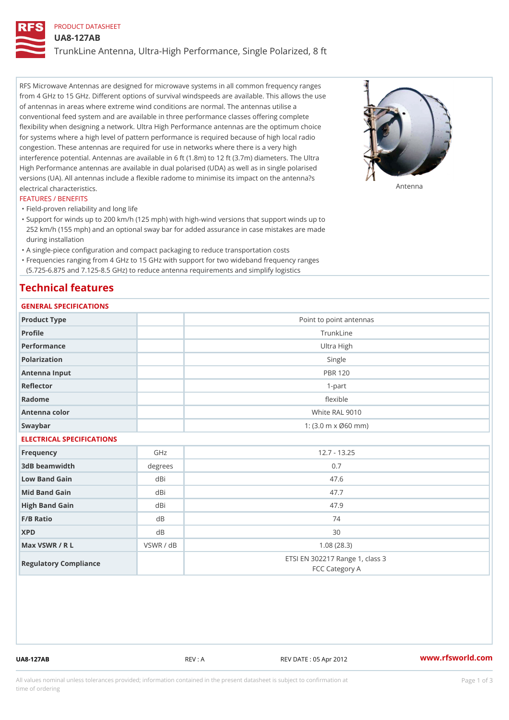# PRODUCT DATASHEET UA8-127AB TrunkLine Antenna, Ultra-High Performance, Single Polarized, 8 ft

RFS Microwave Antennas are designed for microwave systems in all common frequency ranges from 4 GHz to 15 GHz. Different options of survival windspeeds are available. This allows the use of antennas in areas where extreme wind conditions are normal. The antennas utilise a conventional feed system and are available in three performance classes offering complete flexibility when designing a network. Ultra High Performance antennas are the optimum choice for systems where a high level of pattern performance is required because of high local radio congestion. These antennas are required for use in networks where there is a very high interference potential. Antennas are available in 6 ft (1.8m) to 12 ft (3.7m) diameters. The Ultra High Performance antennas are available in dual polarised (UDA) as well as in single polarised versions (UA). All antennas include a flexible radome to minimise its impact on the antenna?s electrical characteristics. Antenna

## FEATURES / BENEFITS

"Field-proven reliability and long life

- Support for winds up to 200 km/h (125 mph) with high-wind versions that support winds up to " 252 km/h (155 mph) and an optional sway bar for added assurance in case mistakes are made during installation
- "A single-piece configuration and compact packaging to reduce transportation costs
- Frequencies ranging from 4 GHz to 15 GHz with support for two wideband frequency ranges "
- (5.725-6.875 and 7.125-8.5 GHz) to reduce antenna requirements and simplify logistics

# Technical features

## GENERAL SPECIFICATIONS

| GENERAL SPECIFICATIONS    |           |                                                         |  |  |
|---------------------------|-----------|---------------------------------------------------------|--|--|
| Product Type              |           | Point to point antennas                                 |  |  |
| Profile                   |           | TrunkLine                                               |  |  |
| Performance               |           | Ultra High                                              |  |  |
| Polarization              |           | Single                                                  |  |  |
| Antenna Input             |           | <b>PBR 120</b>                                          |  |  |
| Reflector                 | $1-part$  |                                                         |  |  |
| Radome                    |           | flexible                                                |  |  |
| Antenna color             |           | White RAL 9010                                          |  |  |
| Swaybar                   |           | 1: $(3.0 \, \text{m} \times \emptyset 60 \, \text{mm})$ |  |  |
| ELECTRICAL SPECIFICATIONS |           |                                                         |  |  |
| Frequency                 | GHz       | $12.7 - 13.25$                                          |  |  |
| 3dB beamwidth             | degree:   | 0.7                                                     |  |  |
| Low Band Gain             | dBi       | 47.6                                                    |  |  |
| Mid Band Gain             | dBi       | 47.7                                                    |  |  |
| High Band Gain            | dBi       | 47.9                                                    |  |  |
| F/B Ratio                 | d B       | 74                                                      |  |  |
| <b>XPD</b>                | d B       | 30                                                      |  |  |
| Max VSWR / R L            | VSWR / dB | 1.08(28.3)                                              |  |  |
| Regulatory Compliance     |           | ETSI EN 302217 Range 1, class 3<br>FCC Category A       |  |  |

UA8-127AB REV : A REV DATE : 05 Apr 2012 [www.](https://www.rfsworld.com)rfsworld.com

All values nominal unless tolerances provided; information contained in the present datasheet is subject to Pcapgeign mation time of ordering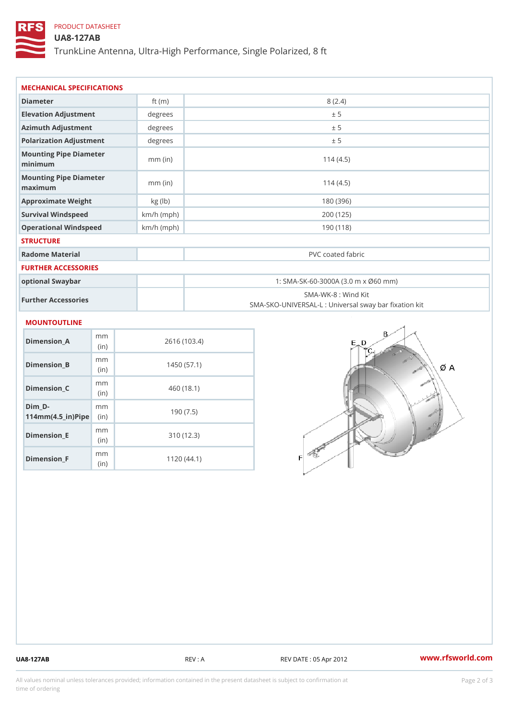## PRODUCT DATASHEET

## UA8-127AB

TrunkLine Antenna, Ultra-High Performance, Single Polarized, 8 ft

| MECHANICAL SPECIFICATIONS                                 |              |                                                                         |  |  |
|-----------------------------------------------------------|--------------|-------------------------------------------------------------------------|--|--|
| Diameter                                                  | ft $(m)$     | 8(2.4)                                                                  |  |  |
| Elevation Adjustment                                      | degrees      | ± 5                                                                     |  |  |
| Azimuth Adjustment                                        | degrees      | ± 5                                                                     |  |  |
| Polarization Adjustment                                   | degrees      | ± 5                                                                     |  |  |
| Mounting Pipe Diameter<br>minimum                         | $mm$ (in)    | 114(4.5)                                                                |  |  |
| Mounting Pipe Diameter<br>maximum                         | $mm$ (in)    | 114(4.5)                                                                |  |  |
| Approximate Weight                                        | kg (1b)      | 180 (396)                                                               |  |  |
| Survival Windspeed                                        | $km/h$ (mph) | 200 (125)                                                               |  |  |
| Operational Windspeed                                     | $km/h$ (mph) | 190 (118)                                                               |  |  |
| <b>STRUCTURE</b>                                          |              |                                                                         |  |  |
| Radome Material                                           |              | PVC coated fabric                                                       |  |  |
| <b>FURTHER ACCESSORIES</b>                                |              |                                                                         |  |  |
| optional Swaybar                                          |              | 1: SMA-SK-60-3000A (3.0 m x Ø60 mm)                                     |  |  |
| Further Accessories                                       |              | SMA-WK-8: Wind Kit<br>SMA-SKO-UNIVERSAL-L : Universal sway bar fixation |  |  |
| <b>MOUNTOUTLINE</b>                                       |              |                                                                         |  |  |
| m m<br>Dimension_A<br>(in)                                |              | 2616 (103.4)                                                            |  |  |
| m m<br>$Dimension_B$<br>(in)                              |              | 1450(57.1)                                                              |  |  |
| m m<br>$Dimension_C$<br>(in)                              |              | 460 (18.1)                                                              |  |  |
| $Dim_D -$<br>m m<br>$114$ m m (4.5_ir) $\mathbb{R}$ imple |              | 190(7.5)                                                                |  |  |
| m m<br><b>B</b> the control of the control                |              | 0.401400                                                                |  |  |

Dimension\_E

Dimension\_F

(in)

m<sub>m</sub> (in)

310 (12.3)

1120 (44.1)

UA8-127AB REV : A REV : A REV DATE : 05 Apr 2012 WWW.rfsworld.com